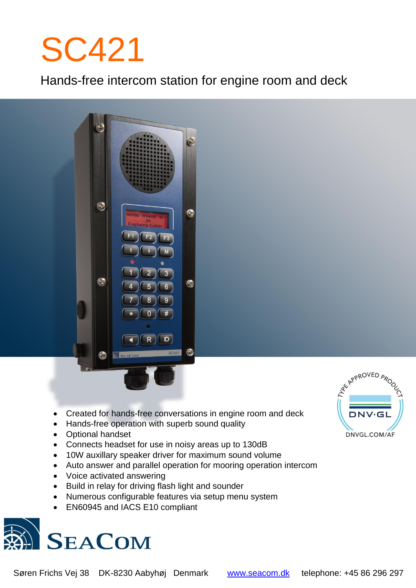# SC421

Hands-free intercom station for engine room and deck



- Created for hands-free conversations in engine room and deck
- Hands-free operation with superb sound quality
- Optional handset
- Connects headset for use in noisy areas up to 130dB
- 10W auxillary speaker driver for maximum sound volume
- Auto answer and parallel operation for mooring operation intercom
- Voice activated answering
- Build in relay for driving flash light and sounder
- Numerous configurable features via setup menu system
- EN60945 and IACS E10 compliant